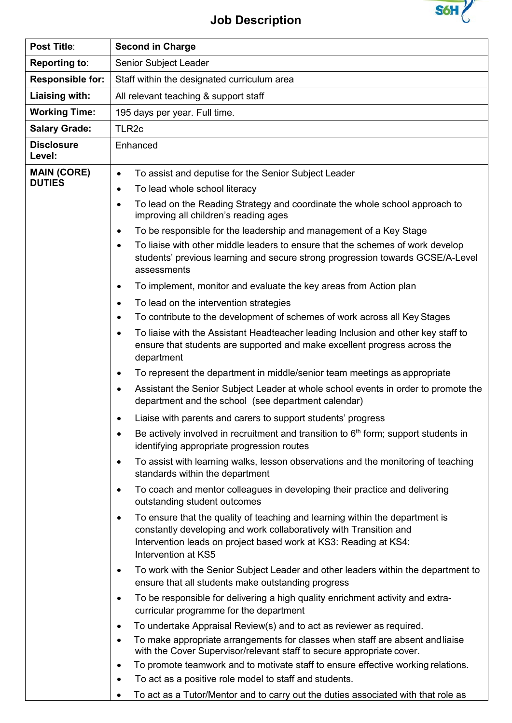

## **Job Description**

| Post Title:                         | <b>Second in Charge</b>                                                                                                                                                                                                                                    |  |  |
|-------------------------------------|------------------------------------------------------------------------------------------------------------------------------------------------------------------------------------------------------------------------------------------------------------|--|--|
| <b>Reporting to:</b>                | Senior Subject Leader                                                                                                                                                                                                                                      |  |  |
| <b>Responsible for:</b>             | Staff within the designated curriculum area                                                                                                                                                                                                                |  |  |
| Liaising with:                      | All relevant teaching & support staff                                                                                                                                                                                                                      |  |  |
| <b>Working Time:</b>                | 195 days per year. Full time.                                                                                                                                                                                                                              |  |  |
| <b>Salary Grade:</b>                | TLR <sub>2c</sub>                                                                                                                                                                                                                                          |  |  |
| <b>Disclosure</b><br>Level:         | Enhanced                                                                                                                                                                                                                                                   |  |  |
| <b>MAIN (CORE)</b><br><b>DUTIES</b> | To assist and deputise for the Senior Subject Leader<br>$\bullet$                                                                                                                                                                                          |  |  |
|                                     | To lead whole school literacy<br>٠                                                                                                                                                                                                                         |  |  |
|                                     | To lead on the Reading Strategy and coordinate the whole school approach to<br>٠<br>improving all children's reading ages                                                                                                                                  |  |  |
|                                     | To be responsible for the leadership and management of a Key Stage<br>$\bullet$                                                                                                                                                                            |  |  |
|                                     | To liaise with other middle leaders to ensure that the schemes of work develop<br>$\bullet$<br>students' previous learning and secure strong progression towards GCSE/A-Level<br>assessments                                                               |  |  |
|                                     | To implement, monitor and evaluate the key areas from Action plan<br>٠                                                                                                                                                                                     |  |  |
|                                     | To lead on the intervention strategies<br>$\bullet$                                                                                                                                                                                                        |  |  |
|                                     | To contribute to the development of schemes of work across all Key Stages<br>$\bullet$                                                                                                                                                                     |  |  |
|                                     | To liaise with the Assistant Headteacher leading Inclusion and other key staff to<br>$\bullet$<br>ensure that students are supported and make excellent progress across the<br>department                                                                  |  |  |
|                                     | To represent the department in middle/senior team meetings as appropriate<br>٠                                                                                                                                                                             |  |  |
|                                     | Assistant the Senior Subject Leader at whole school events in order to promote the<br>٠<br>department and the school (see department calendar)                                                                                                             |  |  |
|                                     | Liaise with parents and carers to support students' progress                                                                                                                                                                                               |  |  |
|                                     | Be actively involved in recruitment and transition to $6th$ form; support students in<br>$\bullet$<br>identifying appropriate progression routes                                                                                                           |  |  |
|                                     | To assist with learning walks, lesson observations and the monitoring of teaching<br>$\bullet$<br>standards within the department                                                                                                                          |  |  |
|                                     | To coach and mentor colleagues in developing their practice and delivering<br>$\bullet$<br>outstanding student outcomes                                                                                                                                    |  |  |
|                                     | To ensure that the quality of teaching and learning within the department is<br>$\bullet$<br>constantly developing and work collaboratively with Transition and<br>Intervention leads on project based work at KS3: Reading at KS4:<br>Intervention at KS5 |  |  |
|                                     | To work with the Senior Subject Leader and other leaders within the department to<br>٠<br>ensure that all students make outstanding progress                                                                                                               |  |  |
|                                     | To be responsible for delivering a high quality enrichment activity and extra-<br>$\bullet$<br>curricular programme for the department                                                                                                                     |  |  |
|                                     | To undertake Appraisal Review(s) and to act as reviewer as required.<br>$\bullet$                                                                                                                                                                          |  |  |
|                                     | To make appropriate arrangements for classes when staff are absent and liaise<br>$\bullet$<br>with the Cover Supervisor/relevant staff to secure appropriate cover.                                                                                        |  |  |
|                                     | To promote teamwork and to motivate staff to ensure effective working relations.<br>$\bullet$                                                                                                                                                              |  |  |
|                                     | To act as a positive role model to staff and students.<br>$\bullet$                                                                                                                                                                                        |  |  |
|                                     | To act as a Tutor/Mentor and to carry out the duties associated with that role as                                                                                                                                                                          |  |  |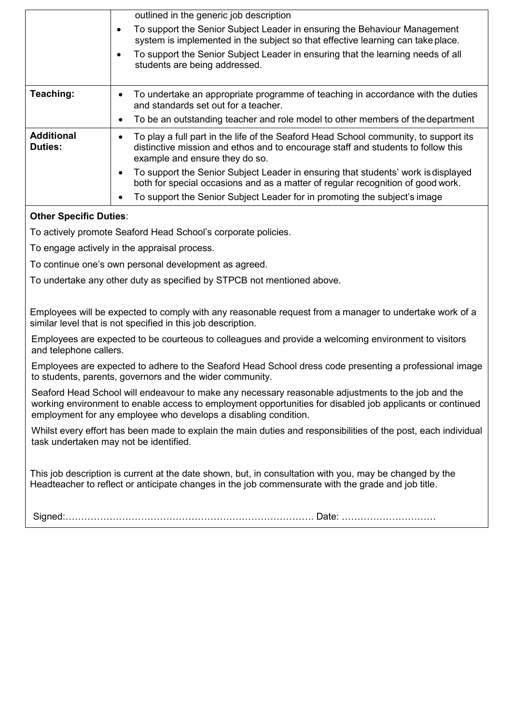|                                     | outlined in the generic job description                                                                                                                                                                                 |  |
|-------------------------------------|-------------------------------------------------------------------------------------------------------------------------------------------------------------------------------------------------------------------------|--|
|                                     | To support the Senior Subject Leader in ensuring the Behaviour Management<br>system is implemented in the subject so that effective learning can take place.                                                            |  |
|                                     | To support the Senior Subject Leader in ensuring that the learning needs of all<br>students are being addressed.                                                                                                        |  |
| Teaching:                           | To undertake an appropriate programme of teaching in accordance with the duties<br>٠<br>and standards set out for a teacher.                                                                                            |  |
|                                     | To be an outstanding teacher and role model to other members of the department<br>٠                                                                                                                                     |  |
| <b>Additional</b><br><b>Duties:</b> | To play a full part in the life of the Seaford Head School community, to support its<br>$\bullet$<br>distinctive mission and ethos and to encourage staff and students to follow this<br>example and ensure they do so. |  |
|                                     | To support the Senior Subject Leader in ensuring that students' work is displayed<br>$\bullet$<br>both for special occasions and as a matter of regular recognition of good work.                                       |  |
|                                     | To support the Senior Subject Leader for in promoting the subject's image                                                                                                                                               |  |

## **Other Specific Duties**:

To actively promote Seaford Head School's corporate policies.

To engage actively in the appraisal process.

To continue one's own personal development as agreed.

To undertake any other duty as specified by STPCB not mentioned above.

Employees will be expected to comply with any reasonable request from a manager to undertake work of a similar level that is not specified in this job description.

Employees are expected to be courteous to colleagues and provide a welcoming environment to visitors and telephone callers.

Employees are expected to adhere to the Seaford Head School dress code presenting a professional image to students, parents, governors and the wider community.

Seaford Head School will endeavour to make any necessary reasonable adjustments to the job and the working environment to enable access to employment opportunities for disabled job applicants or continued employment for any employee who develops a disabling condition.

Whilst every effort has been made to explain the main duties and responsibilities of the post, each individual task undertaken may not be identified.

This job description is current at the date shown, but, in consultation with you, may be changed by the Headteacher to reflect or anticipate changes in the job commensurate with the grade and job title.

Signed:……………………………………………………………………. Date: …………………………